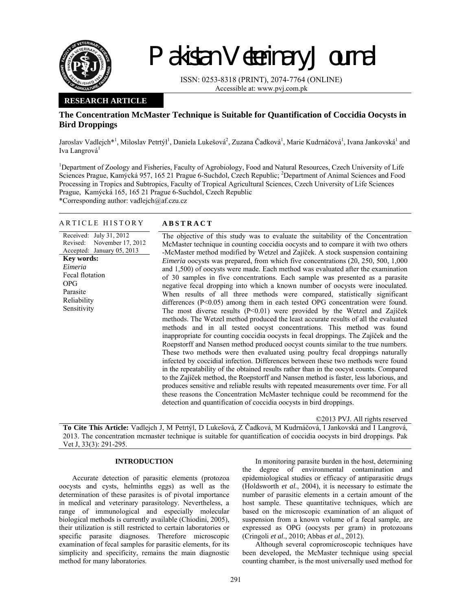

# Pakistan Veterinary Journal

ISSN: 0253-8318 (PRINT), 2074-7764 (ONLINE) Accessible at: www.pvj.com.pk

# **RESEARCH ARTICLE**

# **The Concentration McMaster Technique is Suitable for Quantification of Coccidia Oocysts in Bird Droppings**

Jaroslav Vadlejch\*<sup>1</sup>, Miloslav Petrtýl<sup>1</sup>, Daniela Lukešová<sup>2</sup>, Zuzana Čadková<sup>1</sup>, Marie Kudrnáčová<sup>1</sup>, Ivana Jankovská<sup>1</sup> and Iva Langrová<sup>1</sup>

<sup>1</sup>Department of Zoology and Fisheries, Faculty of Agrobiology, Food and Natural Resources, Czech University of Life Sciences Prague, Kamýcká 957, 165 21 Prague 6-Suchdol, Czech Republic; <sup>2</sup>Department of Animal Sciences and Food Processing in Tropics and Subtropics, Faculty of Tropical Agricultural Sciences, Czech University of Life Sciences Prague, Kamýcká 165, 165 21 Prague 6-Suchdol, Czech Republic \*Corresponding author: vadlejch@af.czu.cz

# ARTICLE HISTORY **ABSTRACT**

Received: July 31, 2012 Revised: Accepted: January 05, 2013 November 17, 2012 **Key words:**  *Eimeria*  Fecal flotation OPG Parasite Reliability Sensitivity

 The objective of this study was to evaluate the suitability of the Concentration McMaster technique in counting coccidia oocysts and to compare it with two others -McMaster method modified by Wetzel and Zajíček. A stock suspension containing *Eimeria* oocysts was prepared, from which five concentrations (20, 250, 500, 1,000 and 1,500) of oocysts were made. Each method was evaluated after the examination of 30 samples in five concentrations. Each sample was presented as a parasite negative fecal dropping into which a known number of oocysts were inoculated. When results of all three methods were compared, statistically significant differences (P<0.05) among them in each tested OPG concentration were found. The most diverse results  $(P<0.01)$  were provided by the Wetzel and Zajíček methods. The Wetzel method produced the least accurate results of all the evaluated methods and in all tested oocyst concentrations. This method was found inappropriate for counting coccidia oocysts in fecal droppings. The Zajíček and the Roepstorff and Nansen method produced oocyst counts similar to the true numbers. These two methods were then evaluated using poultry fecal droppings naturally infected by coccidial infection. Differences between these two methods were found in the repeatability of the obtained results rather than in the oocyst counts. Compared to the Zajíček method, the Roepstorff and Nansen method is faster, less laborious, and produces sensitive and reliable results with repeated measurements over time. For all these reasons the Concentration McMaster technique could be recommend for the detection and quantification of coccidia oocysts in bird droppings.

©2013 PVJ. All rights reserved

**To Cite This Article:** Vadlejch J, M Petrtýl, D Lukešová, Z Čadková, M Kudrnáčová, I Jankovská and I Langrová, 2013. The concentration mcmaster technique is suitable for quantification of coccidia oocysts in bird droppings. Pak Vet J, 33(3): 291-295.

# **INTRODUCTION**

Accurate detection of parasitic elements (protozoa oocysts and cysts, helminths eggs) as well as the determination of these parasites is of pivotal importance in medical and veterinary parasitology. Nevertheless, a range of immunological and especially molecular biological methods is currently available (Chiodini, 2005), their utilization is still restricted to certain laboratories or specific parasite diagnoses. Therefore microscopic examination of fecal samples for parasitic elements, for its simplicity and specificity, remains the main diagnostic method for many laboratories.

In monitoring parasite burden in the host, determining the degree of environmental contamination and epidemiological studies or efficacy of antiparasitic drugs (Holdsworth *et al.*, 2004), it is necessary to estimate the number of parasitic elements in a certain amount of the host sample. These quantitative techniques, which are based on the microscopic examination of an aliquot of suspension from a known volume of a fecal sample, are expressed as OPG (oocysts per gram) in protozoans (Cringoli *et al.*, 2010; Abbas *et al*., 2012).

Although several copromicroscopic techniques have been developed, the McMaster technique using special counting chamber, is the most universally used method for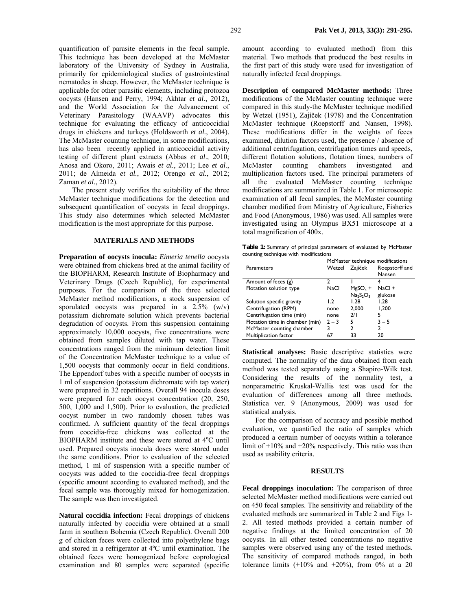This technique has been developed at the McMaster laboratory of the University of Sydney in Australia, primarily for epidemiological studies of gastrointestinal nematodes in sheep. However, the McMaster technique is applicable for other parasitic elements, including protozoa oocysts (Hansen and Perry, 1994; Akhtar *et al.*, 2012), and the World Association for the Advancement of Veterinary Parasitology (WAAVP) advocates this technique for evaluating the efficacy of anticoccidial drugs in chickens and turkeys (Holdsworth *et al.*, 2004). The McMaster counting technique, in some modifications, has also been recently applied in anticoccidial activity testing of different plant extracts (Abbas *et al*., 2010; Anosa and Okoro, 2011; Awais *et al.*, 2011; Lee *et al.*, 2011; de Almeida *et al.*, 2012; Orengo *et al.*, 2012; Zaman *et al*., 2012).

The present study verifies the suitability of the three McMaster technique modifications for the detection and subsequent quantification of oocysts in fecal droppings. This study also determines which selected McMaster modification is the most appropriate for this purpose.

### **MATERIALS AND METHODS**

**Preparation of oocysts inocula:** *Eimeria tenella* oocysts were obtained from chickens bred at the animal facility of the BIOPHARM, Research Institute of Biopharmacy and Veterinary Drugs (Czech Republic), for experimental purposes. For the comparison of the three selected McMaster method modifications, a stock suspension of sporulated oocysts was prepared in a  $2.5\%$  (w/v) potassium dichromate solution which prevents bacterial degradation of oocysts. From this suspension containing approximately 10,000 oocysts, five concentrations were obtained from samples diluted with tap water. These concentrations ranged from the minimum detection limit of the Concentration McMaster technique to a value of 1,500 oocysts that commonly occur in field conditions. The Eppendorf tubes with a specific number of oocysts in 1 ml of suspension (potassium dichromate with tap water) were prepared in 32 repetitions. Overall 94 inocula doses were prepared for each oocyst concentration (20, 250, 500, 1,000 and 1,500). Prior to evaluation, the predicted oocyst number in two randomly chosen tubes was confirmed. A sufficient quantity of the fecal droppings from coccidia-free chickens was collected at the BIOPHARM institute and these were stored at 4°C until used. Prepared oocysts inocula doses were stored under the same conditions. Prior to evaluation of the selected method, 1 ml of suspension with a specific number of oocysts was added to the coccidia-free fecal droppings (specific amount according to evaluated method), and the fecal sample was thoroughly mixed for homogenization. The sample was then investigated.

**Natural coccidia infection:** Fecal droppings of chickens naturally infected by coccidia were obtained at a small farm in southern Bohemia (Czech Republic). Overall 200 g of chicken feces were collected into polyethylene bags and stored in a refrigerator at 4°C until examination. The obtained feces were homogenized before coprological examination and 80 samples were separated (specific

amount according to evaluated method) from this material. Two methods that produced the best results in the first part of this study were used for investigation of naturally infected fecal droppings.

**Description of compared McMaster methods:** Three modifications of the McMaster counting technique were compared in this study-the McMaster technique modified by Wetzel (1951), Zajíček (1978) and the Concentration McMaster technique (Roepstorff and Nansen, 1998). These modifications differ in the weights of feces examined, dilution factors used, the presence / absence of additional centrifugation, centrifugation times and speeds, different flotation solutions, flotation times, numbers of McMaster counting chambers investigated and multiplication factors used. The principal parameters of all the evaluated McMaster counting technique modifications are summarized in Table 1. For microscopic examination of all fecal samples, the McMaster counting chamber modified from Ministry of Agriculture, Fisheries and Food (Anonymous, 1986) was used. All samples were investigated using an Olympus BX51 microscope at a total magnification of 400x.

**Table 1:** Summary of principal parameters of evaluated by McMaster counting technique with modifications

|                                 | McMaster technique modifications |                                 |                |  |  |  |
|---------------------------------|----------------------------------|---------------------------------|----------------|--|--|--|
| Parameters                      | Zajíček<br>Wetzel                |                                 | Roepstorff and |  |  |  |
|                                 |                                  |                                 | Nansen         |  |  |  |
| Amount of feces (g)             |                                  |                                 |                |  |  |  |
| Flotation solution type         | NaCl                             | $MgSO4$ +                       | $NaCl +$       |  |  |  |
|                                 |                                  | Na <sub>2</sub> SO <sub>3</sub> | glukose        |  |  |  |
| Solution specific gravity       | 1.2                              | 1.28                            | 1.28           |  |  |  |
| Centrifugation (RPM)            | none                             | 2.000                           | 1.200          |  |  |  |
| Centrifugation time (min)       | none                             | 2/1                             | 5              |  |  |  |
| Flotation time in chamber (min) | $2 - 3$                          | 5                               | $3 - 5$        |  |  |  |
| McMaster counting chamber       | 3                                | 2                               | 2              |  |  |  |
| Multiplication factor           | 67                               | 33                              | 20             |  |  |  |

**Statistical analyses:** Basic descriptive statistics were computed. The normality of the data obtained from each method was tested separately using a Shapiro-Wilk test. Considering the results of the normality test, a nonparametric Kruskal-Wallis test was used for the evaluation of differences among all three methods. Statistica ver. 9 (Anonymous, 2009) was used for statistical analysis.

For the comparison of accuracy and possible method evaluation, we quantified the ratio of samples which produced a certain number of oocysts within a tolerance limit of +10% and +20% respectively. This ratio was then used as usability criteria.

#### **RESULTS**

**Fecal droppings inoculation:** The comparison of three selected McMaster method modifications were carried out on 450 fecal samples. The sensitivity and reliability of the evaluated methods are summarized in Table 2 and Figs 1- 2. All tested methods provided a certain number of negative findings at the limited concentration of 20 oocysts. In all other tested concentrations no negative samples were observed using any of the tested methods. The sensitivity of compared methods ranged, in both tolerance limits  $(+10\%$  and  $+20\%)$ , from 0% at a 20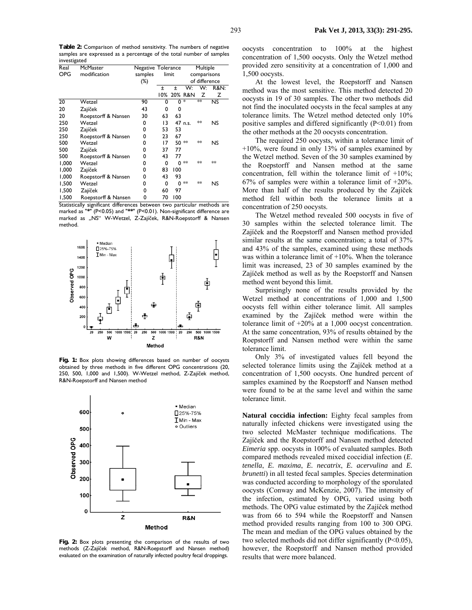**Table 2:** Comparison of method sensitivity. The numbers of negative samples are expressed as a percentage of the total number of samples investigated

| Real  | McMaster            |         | Negative Tolerance<br>limit<br>of difference |     | Multiple    |      |                 |
|-------|---------------------|---------|----------------------------------------------|-----|-------------|------|-----------------|
| OPG   | modification        | samples |                                              |     | comparisons |      |                 |
|       |                     | $(\%)$  |                                              |     |             |      |                 |
|       |                     |         | 土                                            | Ŧ   | W:          | W:   | <b>R&amp;N:</b> |
|       |                     |         | 10%                                          | 20% | R&N         | z    | z               |
| 20    | Wetzel              | 90      | 0                                            | ŋ   | *           | $**$ | NS              |
| 20    | Zajíček             | 43      | 0                                            | 0   |             |      |                 |
| 20    | Roepstorff & Nansen | 30      | 63                                           | 63  |             |      |                 |
| 250   | Wetzel              | 0       | 13                                           |     | 47 n.s.     | $**$ | NS              |
| 250   | Zajíček             | 0       | 53                                           | 53  |             |      |                 |
| 250   | Roepstorff & Nansen | 0       | 23                                           | 67  |             |      |                 |
| 500   | Wetzel              | 0       | 17                                           | 50  | $**$        | $**$ | NS              |
| 500   | Zajíček             | 0       | 37                                           | 77  |             |      |                 |
| 500   | Roepstorff & Nansen | 0       | 43                                           | 77  |             |      |                 |
| 1,000 | Wetzel              | 0       | 0                                            | 0   | $*$         | **   | $*$             |
| 1,000 | Zajíček             | 0       | 83                                           | 100 |             |      |                 |
| 1,000 | Roepstorff & Nansen | 0       | 43                                           | 93  |             |      |                 |
| 1,500 | Wetzel              | 0       | 0                                            | 0   | $*$         | $**$ | NS              |
| 1,500 | Zajíček             | 0       | 60                                           | 97  |             |      |                 |
| 1,500 | Roepstorff & Nansen | 0       | 70                                           | 100 |             |      |                 |

Statistically significant differences between two particular methods are marked as "**\***" (P<0.05) and "**\*\***" (P<0.01). Non-significant difference are marked as "NS" W-Wetzel, Z-Zajíček, R&N-Roepstorff & Nansen method.



**Fig. 1:** Box plots showing differences based on number of oocysts obtained by three methods in five different OPG concentrations (20, 250, 500, 1,000 and 1,500). W-Wetzel method, Z-Zajíček method, R&N-Roepstorff and Nansen method



**Fig. 2:** Box plots presenting the comparison of the results of two methods (Z-Zajíček method, R&N-Roepstorff and Nansen method) evaluated on the examination of naturally infected poultry fecal droppings.

oocysts concentration to 100% at the highest concentration of 1,500 oocysts. Only the Wetzel method provided zero sensitivity at a concentration of 1,000 and 1,500 oocysts.

At the lowest level, the Roepstorff and Nansen method was the most sensitive. This method detected 20 oocysts in 19 of 30 samples. The other two methods did not find the inoculated oocysts in the fecal samples at any tolerance limits. The Wetzel method detected only 10% positive samples and differed significantly  $(P<0.01)$  from the other methods at the 20 oocysts concentration.

The required 250 oocysts, within a tolerance limit of +10%, were found in only 13% of samples examined by the Wetzel method. Seven of the 30 samples examined by the Roepstorff and Nansen method at the same concentration, fell within the tolerance limit of +10%; 67% of samples were within a tolerance limit of +20%. More than half of the results produced by the Zajíček method fell within both the tolerance limits at a concentration of 250 oocysts.

The Wetzel method revealed 500 oocysts in five of 30 samples within the selected tolerance limit. The Zajíček and the Roepstorff and Nansen method provided similar results at the same concentration; a total of 37% and 43% of the samples, examined using these methods was within a tolerance limit of  $+10\%$ . When the tolerance limit was increased, 23 of 30 samples examined by the Zajíček method as well as by the Roepstorff and Nansen method went beyond this limit.

Surprisingly none of the results provided by the Wetzel method at concentrations of 1,000 and 1,500 oocysts fell within either tolerance limit. All samples examined by the Zajíček method were within the tolerance limit of +20% at a 1,000 oocyst concentration. At the same concentration, 93% of results obtained by the Roepstorff and Nansen method were within the same tolerance limit.

Only 3% of investigated values fell beyond the selected tolerance limits using the Zajíček method at a concentration of 1,500 oocysts. One hundred percent of samples examined by the Roepstorff and Nansen method were found to be at the same level and within the same tolerance limit.

**Natural coccidia infection:** Eighty fecal samples from naturally infected chickens were investigated using the two selected McMaster technique modifications. The Zajíček and the Roepstorff and Nansen method detected *Eimeria* spp. oocysts in 100% of evaluated samples. Both compared methods revealed mixed coccidial infection (*E*. *tenella*, *E. maxima*, *E. necatrix*, *E. acervulina* and *E. brunetti*) in all tested fecal samples. Species determination was conducted according to morphology of the sporulated oocysts (Conway and McKenzie, 2007). The intensity of the infection, estimated by OPG, varied using both methods. The OPG value estimated by the Zajíček method was from 66 to 594 while the Roepstorff and Nansen method provided results ranging from 100 to 300 OPG. The mean and median of the OPG values obtained by the two selected methods did not differ significantly (P<0.05), however, the Roepstorff and Nansen method provided results that were more balanced.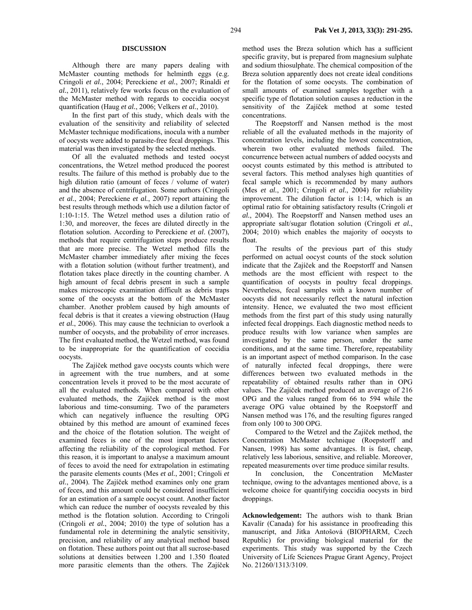#### **DISCUSSION**

Although there are many papers dealing with McMaster counting methods for helminth eggs (e.g. Cringoli *et al.*, 2004; Pereckiene *et al.*, 2007; Rinaldi *et al.*, 2011), relatively few works focus on the evaluation of the McMaster method with regards to coccidia oocyst quantification (Haug *et al.*, 2006; Velkers *et al.*, 2010).

In the first part of this study, which deals with the evaluation of the sensitivity and reliability of selected McMaster technique modifications, inocula with a number of oocysts were added to parasite-free fecal droppings. This material was then investigated by the selected methods.

Of all the evaluated methods and tested oocyst concentrations, the Wetzel method produced the poorest results. The failure of this method is probably due to the high dilution ratio (amount of feces / volume of water) and the absence of centrifugation. Some authors (Cringoli *et al.*, 2004; Pereckiene *et al.*, 2007) report attaining the best results through methods which use a dilution factor of 1:10-1:15. The Wetzel method uses a dilution ratio of 1:30, and moreover, the feces are diluted directly in the flotation solution. According to Pereckiene *et al*. (2007), methods that require centrifugation steps produce results that are more precise. The Wetzel method fills the McMaster chamber immediately after mixing the feces with a flotation solution (without further treatment), and flotation takes place directly in the counting chamber. A high amount of fecal debris present in such a sample makes microscopic examination difficult as debris traps some of the oocysts at the bottom of the McMaster chamber. Another problem caused by high amounts of fecal debris is that it creates a viewing obstruction (Haug *et al.*, 2006). This may cause the technician to overlook a number of oocysts, and the probability of error increases. The first evaluated method, the Wetzel method, was found to be inappropriate for the quantification of coccidia oocysts.

The Zajíček method gave oocysts counts which were in agreement with the true numbers, and at some concentration levels it proved to be the most accurate of all the evaluated methods. When compared with other evaluated methods, the Zajíček method is the most laborious and time-consuming. Two of the parameters which can negatively influence the resulting OPG obtained by this method are amount of examined feces and the choice of the flotation solution. The weight of examined feces is one of the most important factors affecting the reliability of the coprological method. For this reason, it is important to analyse a maximum amount of feces to avoid the need for extrapolation in estimating the parasite elements counts (Mes *et al.*, 2001; Cringoli *et al.*, 2004). The Zajíček method examines only one gram of feces, and this amount could be considered insufficient for an estimation of a sample oocyst count. Another factor which can reduce the number of oocysts revealed by this method is the flotation solution. According to Cringoli (Cringoli *et al.*, 2004; 2010) the type of solution has a fundamental role in determining the analytic sensitivity, precision, and reliability of any analytical method based on flotation. These authors point out that all sucrose-based solutions at densities between 1.200 and 1.350 floated more parasitic elements than the others. The Zajíček

method uses the Breza solution which has a sufficient specific gravity, but is prepared from magnesium sulphate and sodium thiosulphate. The chemical composition of the Breza solution apparently does not create ideal conditions for the flotation of some oocysts. The combination of small amounts of examined samples together with a specific type of flotation solution causes a reduction in the sensitivity of the Zajíček method at some tested concentrations.

The Roepstorff and Nansen method is the most reliable of all the evaluated methods in the majority of concentration levels, including the lowest concentration, wherein two other evaluated methods failed. The concurrence between actual numbers of added oocysts and oocyst counts estimated by this method is attributed to several factors. This method analyses high quantities of fecal sample which is recommended by many authors (Mes *et al.*, 2001; Cringoli *et al.*, 2004) for reliability improvement. The dilution factor is 1:14, which is an optimal ratio for obtaining satisfactory results (Cringoli *et al.*, 2004). The Roepstorff and Nansen method uses an appropriate salt/sugar flotation solution (Cringoli *et al.*, 2004; 2010) which enables the majority of oocysts to float.

The results of the previous part of this study performed on actual oocyst counts of the stock solution indicate that the Zajíček and the Roepstorff and Nansen methods are the most efficient with respect to the quantification of oocysts in poultry fecal droppings. Nevertheless, fecal samples with a known number of oocysts did not necessarily reflect the natural infection intensity. Hence, we evaluated the two most efficient methods from the first part of this study using naturally infected fecal droppings. Each diagnostic method needs to produce results with low variance when samples are investigated by the same person, under the same conditions, and at the same time. Therefore, repeatability is an important aspect of method comparison. In the case of naturally infected fecal droppings, there were differences between two evaluated methods in the repeatability of obtained results rather than in OPG values. The Zajíček method produced an average of 216 OPG and the values ranged from 66 to 594 while the average OPG value obtained by the Roepstorff and Nansen method was 176, and the resulting figures ranged from only 100 to 300 OPG.

Compared to the Wetzel and the Zajíček method, the Concentration McMaster technique (Roepstorff and Nansen, 1998) has some advantages. It is fast, cheap, relatively less laborious, sensitive, and reliable. Moreover, repeated measurements over time produce similar results.

In conclusion, the Concentration McMaster technique, owing to the advantages mentioned above, is a welcome choice for quantifying coccidia oocysts in bird droppings.

**Acknowledgement:** The authors wish to thank Brian Kavalír (Canada) for his assistance in proofreading this manuscript, and Jitka Antošová (BIOPHARM, Czech Republic) for providing biological material for the experiments. This study was supported by the Czech University of Life Sciences Prague Grant Agency, Project No. 21260/1313/3109.